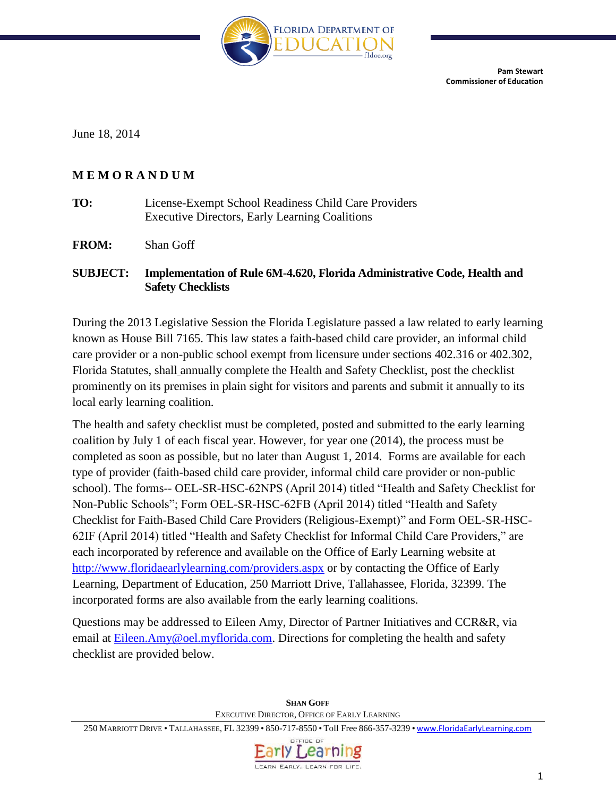

**Pam Stewart Commissioner of Education** 

June 18, 2014

## **M E M O R A N D U M**

- **TO:** License-Exempt School Readiness Child Care Providers Executive Directors, Early Learning Coalitions
- **FROM:** Shan Goff

## **SUBJECT: Implementation of Rule 6M-4.620, Florida Administrative Code, Health and Safety Checklists**

During the 2013 Legislative Session the Florida Legislature passed a law related to early learning known as House Bill 7165. This law states a faith-based child care provider, an informal child care provider or a non-public school exempt from licensure under sections 402.316 or 402.302, Florida Statutes, shall annually complete the Health and Safety Checklist, post the checklist prominently on its premises in plain sight for visitors and parents and submit it annually to its local early learning coalition.

The health and safety checklist must be completed, posted and submitted to the early learning coalition by July 1 of each fiscal year. However, for year one (2014), the process must be completed as soon as possible, but no later than August 1, 2014. Forms are available for each type of provider (faith-based child care provider, informal child care provider or non-public school). The forms-- OEL-SR-HSC-62NPS (April 2014) titled "Health and Safety Checklist for Non-Public Schools"; Form OEL-SR-HSC-62FB (April 2014) titled "Health and Safety Checklist for Faith-Based Child Care Providers (Religious-Exempt)" and Form OEL-SR-HSC-62IF (April 2014) titled "Health and Safety Checklist for Informal Child Care Providers," are each incorporated by reference and available on the Office of Early Learning website at <http://www.floridaearlylearning.com/providers.aspx> or by contacting the Office of Early Learning, Department of Education, 250 Marriott Drive, Tallahassee, Florida, 32399. The incorporated forms are also available from the early learning coalitions.

Questions may be addressed to Eileen Amy, Director of Partner Initiatives and CCR&R, via email at [Eileen.Amy@oel.myflorida.com.](mailto:Eileen.Amy@oel.myflorida.com) Directions for completing the health and safety checklist are provided below.

**SHAN GOFF**

EXECUTIVE DIRECTOR, OFFICE OF EARLY LEARNING